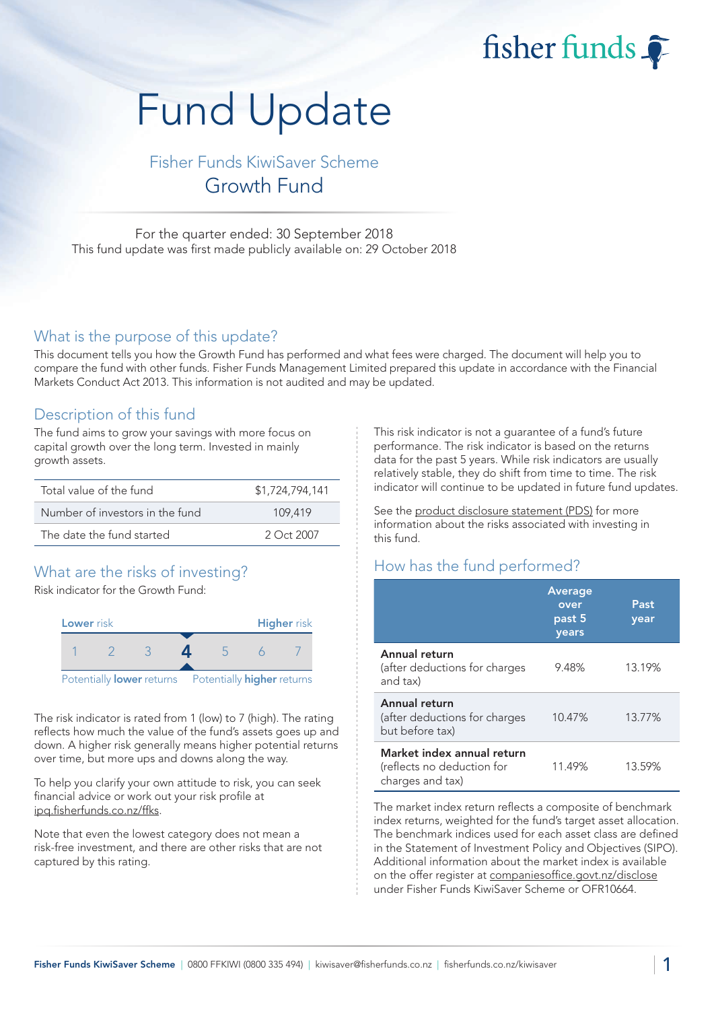fisher funds

# Fund Update

Fisher Funds KiwiSaver Scheme Growth Fund

For the quarter ended: 30 September 2018 This fund update was first made publicly available on: 29 October 2018

# What is the purpose of this update?

This document tells you how the Growth Fund has performed and what fees were charged. The document will help you to compare the fund with other funds. Fisher Funds Management Limited prepared this update in accordance with the Financial Markets Conduct Act 2013. This information is not audited and may be updated.

# Description of this fund

The fund aims to grow your savings with more focus on capital growth over the long term. Invested in mainly growth assets.

| Total value of the fund         | \$1,724,794,141 |
|---------------------------------|-----------------|
| Number of investors in the fund | 109.419         |
| The date the fund started       | $2$ Oct 2007    |

# What are the risks of investing?

Risk indicator for the Growth Fund:



The risk indicator is rated from 1 (low) to 7 (high). The rating reflects how much the value of the fund's assets goes up and down. A higher risk generally means higher potential returns over time, but more ups and downs along the way.

To help you clarify your own attitude to risk, you can seek financial advice or work out your risk profile at [ipq.fisherfunds.co.nz/ffks.](https://ipq.fisherfunds.co.nz/ffks)

Note that even the lowest category does not mean a risk-free investment, and there are other risks that are not captured by this rating.

This risk indicator is not a guarantee of a fund's future performance. The risk indicator is based on the returns data for the past 5 years. While risk indicators are usually relatively stable, they do shift from time to time. The risk indicator will continue to be updated in future fund updates.

See the [product disclosure statement \(PDS\)](https://fisherfunds.co.nz/assets/PDS/Fisher-Funds-KiwiSaver-Scheme-PDS.pdf) for more information about the risks associated with investing in this fund.

# How has the fund performed?

|                                                                              | <b>Average</b><br>over<br>past 5<br>years | Past<br>year |
|------------------------------------------------------------------------------|-------------------------------------------|--------------|
| Annual return<br>(after deductions for charges<br>and tax)                   | 9.48%                                     | 13.19%       |
| Annual return<br>(after deductions for charges<br>but before tax)            | 10.47%                                    | 13.77%       |
| Market index annual return<br>(reflects no deduction for<br>charges and tax) | 11.49%                                    | 13.59%       |

The market index return reflects a composite of benchmark index returns, weighted for the fund's target asset allocation. The benchmark indices used for each asset class are defined in the Statement of Investment Policy and Objectives (SIPO). Additional information about the market index is available on the offer register at [companiesoffice.govt.nz/disclose](http://companiesoffice.govt.nz/disclose) under Fisher Funds KiwiSaver Scheme or OFR10664.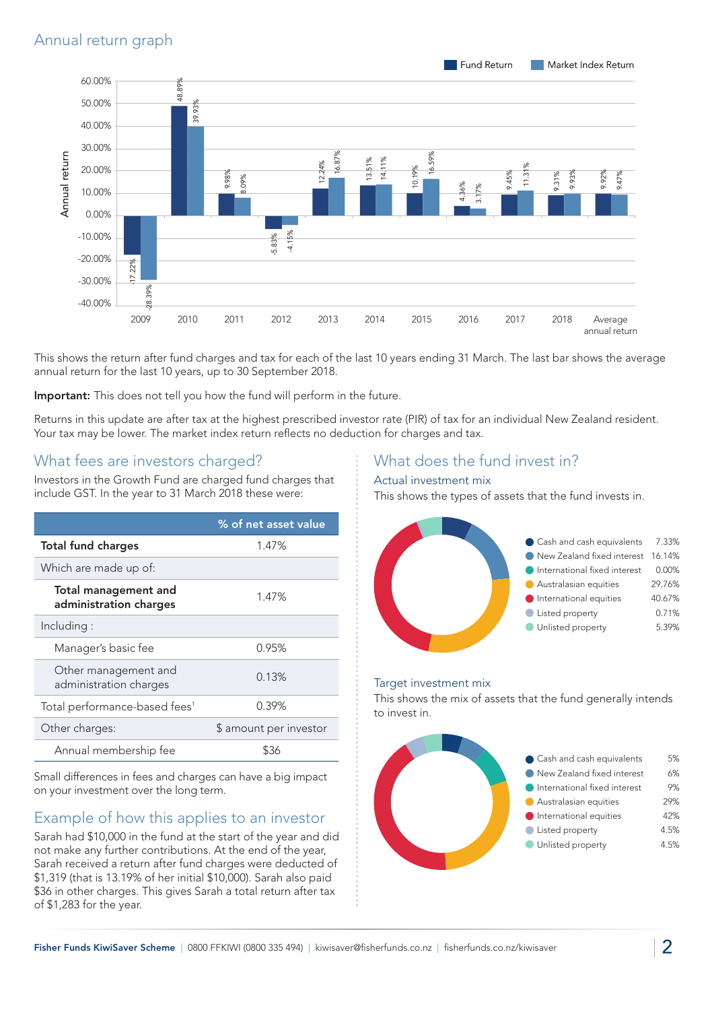

This shows the return after fund charges and tax for each of the last 10 years ending 31 March. The last bar shows the average annual return for the last 10 years, up to 30 September 2018.

Important: This does not tell you how the fund will perform in the future.

Returns in this update are after tax at the highest prescribed investor rate (PIR) of tax for an individual New Zealand resident. Your tax may be lower. The market index return reflects no deduction for charges and tax.

# What fees are investors charged?

Investors in the Growth Fund are charged fund charges that include GST. In the year to 31 March 2018 these were:

|                                                | % of net asset value   |
|------------------------------------------------|------------------------|
| <b>Total fund charges</b>                      | 1.47%                  |
| Which are made up of:                          |                        |
| Total management and<br>administration charges | 1.47%                  |
| Including:                                     |                        |
| Manager's basic fee                            | 0.95%                  |
| Other management and<br>administration charges | 0.13%                  |
| Total performance-based fees <sup>1</sup>      | 0.39%                  |
| Other charges:                                 | \$ amount per investor |
| Annual membership fee                          |                        |

Small differences in fees and charges can have a big impact on your investment over the long term.

# Example of how this applies to an investor

Sarah had \$10,000 in the fund at the start of the year and did not make any further contributions. At the end of the year, Sarah received a return after fund charges were deducted of \$1,319 (that is 13.19% of her initial \$10,000). Sarah also paid \$36 in other charges. This gives Sarah a total return after tax of \$1,283 for the year.

# What does the fund invest in?

#### Actual investment mix

This shows the types of assets that the fund invests in.



#### Target investment mix

This shows the mix of assets that the fund generally intends to invest in.